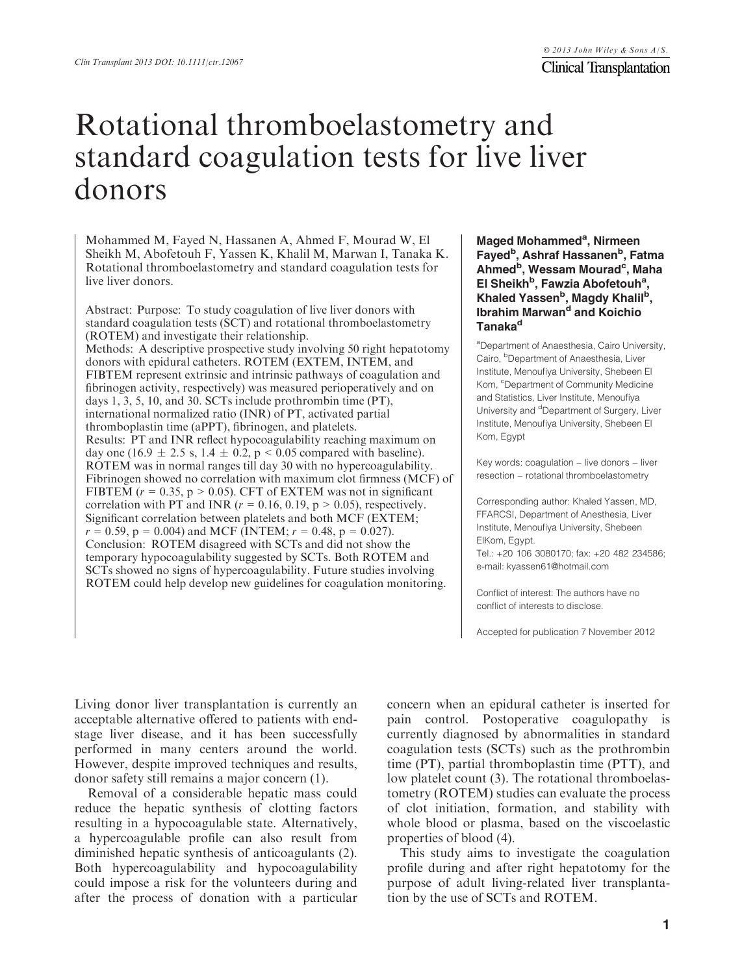# Rotational thromboelastometry and standard coagulation tests for live liver donors

Mohammed M, Fayed N, Hassanen A, Ahmed F, Mourad W, El Sheikh M, Abofetouh F, Yassen K, Khalil M, Marwan I, Tanaka K. Rotational thromboelastometry and standard coagulation tests for live liver donors.

Abstract: Purpose: To study coagulation of live liver donors with standard coagulation tests (SCT) and rotational thromboelastometry (ROTEM) and investigate their relationship. Methods: A descriptive prospective study involving 50 right hepatotomy donors with epidural catheters. ROTEM (EXTEM, INTEM, and FIBTEM represent extrinsic and intrinsic pathways of coagulation and fibrinogen activity, respectively) was measured perioperatively and on days 1, 3, 5, 10, and 30. SCTs include prothrombin time (PT), international normalized ratio (INR) of PT, activated partial thromboplastin time (aPPT), fibrinogen, and platelets. Results: PT and INR reflect hypocoagulability reaching maximum on day one (16.9  $\pm$  2.5 s, 1.4  $\pm$  0.2, p < 0.05 compared with baseline). ROTEM was in normal ranges till day 30 with no hypercoagulability. Fibrinogen showed no correlation with maximum clot firmness (MCF) of FIBTEM  $(r = 0.35, p > 0.05)$ . CFT of EXTEM was not in significant correlation with PT and INR ( $r = 0.16, 0.19, p > 0.05$ ), respectively. Significant correlation between platelets and both MCF (EXTEM;  $r = 0.59$ ,  $p = 0.004$ ) and MCF (INTEM;  $r = 0.48$ ,  $p = 0.027$ ). Conclusion: ROTEM disagreed with SCTs and did not show the temporary hypocoagulability suggested by SCTs. Both ROTEM and SCTs showed no signs of hypercoagulability. Future studies involving ROTEM could help develop new guidelines for coagulation monitoring.

Maged Mohammed<sup>a</sup>, Nirmeen Fayed<sup>b</sup>, Ashraf Hassanen<sup>b</sup>, Fatma Ahmed<sup>b</sup>, Wessam Mourad<sup>c</sup>, Maha El Sheikh<sup>b</sup>, Fawzia Abofetouh<sup>a</sup>, Khaled Yassen<sup>b</sup>, Magdy Khalil<sup>b</sup>, Ibrahim Marwan<sup>d</sup> and Koichio Tanaka<sup>d</sup>

aDepartment of Anaesthesia, Cairo University, Cairo, <sup>b</sup>Department of Anaesthesia, Liver Institute, Menoufiya University, Shebeen El Kom, <sup>c</sup>Department of Community Medicine and Statistics, Liver Institute, Menoufiya University and <sup>d</sup>Department of Surgery, Liver Institute, Menoufiya University, Shebeen El Kom, Egypt

Key words: coagulation – live donors – liver resection – rotational thromboelastometry

Corresponding author: Khaled Yassen, MD, FFARCSI, Department of Anesthesia, Liver Institute, Menoufiya University, Shebeen ElKom, Egypt.

Tel.: +20 106 3080170; fax: +20 482 234586; e-mail: kyassen61@hotmail.com

Conflict of interest: The authors have no conflict of interests to disclose.

Accepted for publication 7 November 2012

Living donor liver transplantation is currently an acceptable alternative offered to patients with endstage liver disease, and it has been successfully performed in many centers around the world. However, despite improved techniques and results, donor safety still remains a major concern (1).

Removal of a considerable hepatic mass could reduce the hepatic synthesis of clotting factors resulting in a hypocoagulable state. Alternatively, a hypercoagulable profile can also result from diminished hepatic synthesis of anticoagulants (2). Both hypercoagulability and hypocoagulability could impose a risk for the volunteers during and after the process of donation with a particular concern when an epidural catheter is inserted for pain control. Postoperative coagulopathy is currently diagnosed by abnormalities in standard coagulation tests (SCTs) such as the prothrombin time (PT), partial thromboplastin time (PTT), and low platelet count (3). The rotational thromboelastometry (ROTEM) studies can evaluate the process of clot initiation, formation, and stability with whole blood or plasma, based on the viscoelastic properties of blood (4).

This study aims to investigate the coagulation profile during and after right hepatotomy for the purpose of adult living-related liver transplantation by the use of SCTs and ROTEM.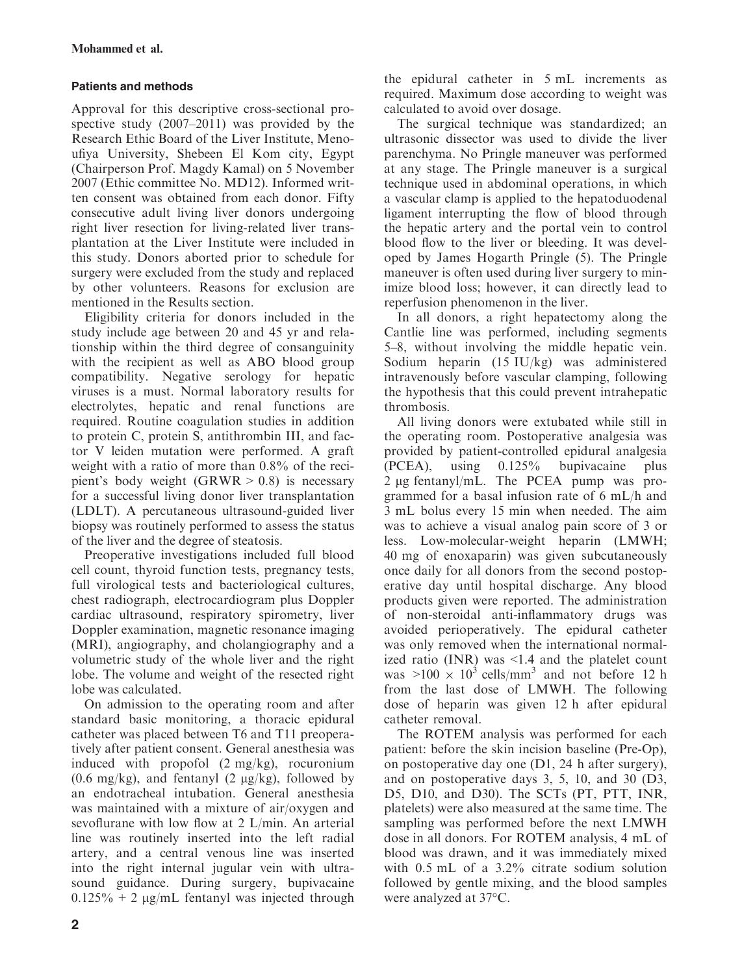# Patients and methods

Approval for this descriptive cross-sectional prospective study (2007–2011) was provided by the Research Ethic Board of the Liver Institute, Menoufiya University, Shebeen El Kom city, Egypt (Chairperson Prof. Magdy Kamal) on 5 November 2007 (Ethic committee No. MD12). Informed written consent was obtained from each donor. Fifty consecutive adult living liver donors undergoing right liver resection for living-related liver transplantation at the Liver Institute were included in this study. Donors aborted prior to schedule for surgery were excluded from the study and replaced by other volunteers. Reasons for exclusion are mentioned in the Results section.

Eligibility criteria for donors included in the study include age between 20 and 45 yr and relationship within the third degree of consanguinity with the recipient as well as ABO blood group compatibility. Negative serology for hepatic viruses is a must. Normal laboratory results for electrolytes, hepatic and renal functions are required. Routine coagulation studies in addition to protein C, protein S, antithrombin III, and factor V leiden mutation were performed. A graft weight with a ratio of more than 0.8% of the recipient's body weight  $(GRWR > 0.8)$  is necessary for a successful living donor liver transplantation (LDLT). A percutaneous ultrasound-guided liver biopsy was routinely performed to assess the status of the liver and the degree of steatosis.

Preoperative investigations included full blood cell count, thyroid function tests, pregnancy tests, full virological tests and bacteriological cultures, chest radiograph, electrocardiogram plus Doppler cardiac ultrasound, respiratory spirometry, liver Doppler examination, magnetic resonance imaging (MRI), angiography, and cholangiography and a volumetric study of the whole liver and the right lobe. The volume and weight of the resected right lobe was calculated.

On admission to the operating room and after standard basic monitoring, a thoracic epidural catheter was placed between T6 and T11 preoperatively after patient consent. General anesthesia was induced with propofol (2 mg/kg), rocuronium  $(0.6 \text{ mg/kg})$ , and fentanyl  $(2 \mu g/kg)$ , followed by an endotracheal intubation. General anesthesia was maintained with a mixture of air/oxygen and sevoflurane with low flow at 2 L/min. An arterial line was routinely inserted into the left radial artery, and a central venous line was inserted into the right internal jugular vein with ultrasound guidance. During surgery, bupivacaine  $0.125\% + 2 \mu g/mL$  fentanyl was injected through

the epidural catheter in 5 mL increments as required. Maximum dose according to weight was calculated to avoid over dosage.

The surgical technique was standardized; an ultrasonic dissector was used to divide the liver parenchyma. No Pringle maneuver was performed at any stage. The Pringle maneuver is a surgical technique used in abdominal operations, in which a vascular clamp is applied to the hepatoduodenal ligament interrupting the flow of blood through the hepatic artery and the portal vein to control blood flow to the liver or bleeding. It was developed by James Hogarth Pringle (5). The Pringle maneuver is often used during liver surgery to minimize blood loss; however, it can directly lead to reperfusion phenomenon in the liver.

In all donors, a right hepatectomy along the Cantlie line was performed, including segments 5–8, without involving the middle hepatic vein. Sodium heparin (15 IU/kg) was administered intravenously before vascular clamping, following the hypothesis that this could prevent intrahepatic thrombosis.

All living donors were extubated while still in the operating room. Postoperative analgesia was provided by patient-controlled epidural analgesia (PCEA), using 0.125% bupivacaine plus 2 µg fentanyl/mL. The PCEA pump was programmed for a basal infusion rate of 6 mL/h and 3 mL bolus every 15 min when needed. The aim was to achieve a visual analog pain score of 3 or less. Low-molecular-weight heparin (LMWH; 40 mg of enoxaparin) was given subcutaneously once daily for all donors from the second postoperative day until hospital discharge. Any blood products given were reported. The administration of non-steroidal anti-inflammatory drugs was avoided perioperatively. The epidural catheter was only removed when the international normalized ratio (INR) was <1.4 and the platelet count was  $>100 \times 10^3$  cells/mm<sup>3</sup> and not before 12 h from the last dose of LMWH. The following dose of heparin was given 12 h after epidural catheter removal.

The ROTEM analysis was performed for each patient: before the skin incision baseline (Pre-Op), on postoperative day one (D1, 24 h after surgery), and on postoperative days 3, 5, 10, and 30 (D3, D5, D10, and D30). The SCTs (PT, PTT, INR, platelets) were also measured at the same time. The sampling was performed before the next LMWH dose in all donors. For ROTEM analysis, 4 mL of blood was drawn, and it was immediately mixed with 0.5 mL of a 3.2% citrate sodium solution followed by gentle mixing, and the blood samples were analyzed at 37°C.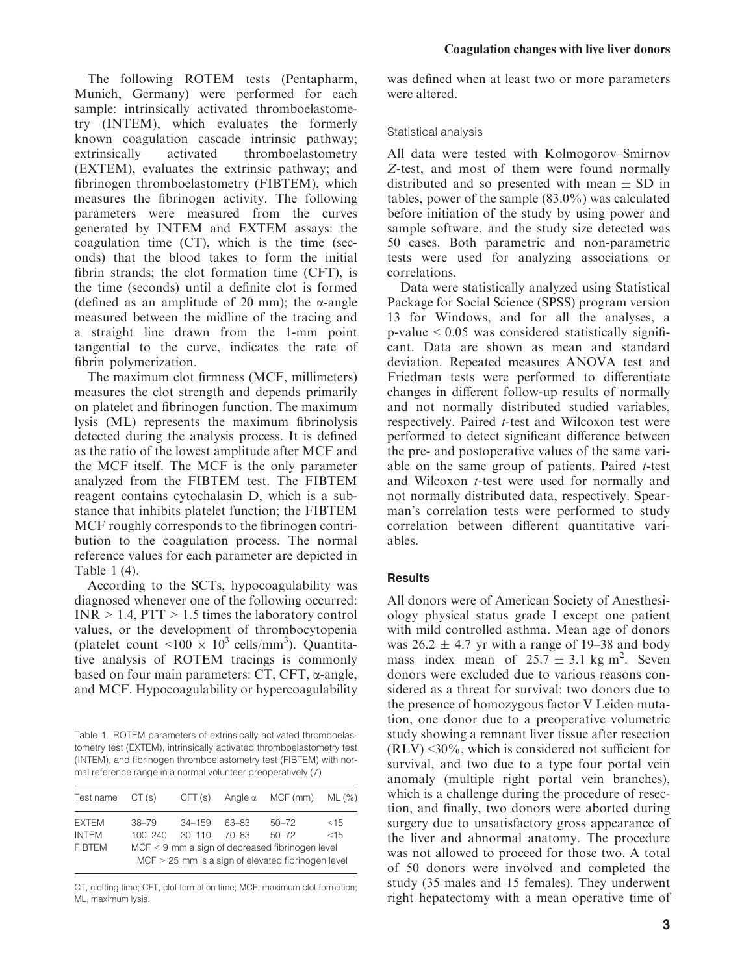The following ROTEM tests (Pentapharm, Munich, Germany) were performed for each sample: intrinsically activated thromboelastometry (INTEM), which evaluates the formerly known coagulation cascade intrinsic pathway; extrinsically activated thromboelastometry (EXTEM), evaluates the extrinsic pathway; and fibrinogen thromboelastometry (FIBTEM), which measures the fibrinogen activity. The following parameters were measured from the curves generated by INTEM and EXTEM assays: the coagulation time (CT), which is the time (seconds) that the blood takes to form the initial fibrin strands; the clot formation time (CFT), is the time (seconds) until a definite clot is formed (defined as an amplitude of 20 mm); the  $\alpha$ -angle measured between the midline of the tracing and a straight line drawn from the 1-mm point tangential to the curve, indicates the rate of fibrin polymerization.

The maximum clot firmness (MCF, millimeters) measures the clot strength and depends primarily on platelet and fibrinogen function. The maximum lysis (ML) represents the maximum fibrinolysis detected during the analysis process. It is defined as the ratio of the lowest amplitude after MCF and the MCF itself. The MCF is the only parameter analyzed from the FIBTEM test. The FIBTEM reagent contains cytochalasin D, which is a substance that inhibits platelet function; the FIBTEM MCF roughly corresponds to the fibrinogen contribution to the coagulation process. The normal reference values for each parameter are depicted in Table 1 (4).

According to the SCTs, hypocoagulability was diagnosed whenever one of the following occurred:  $INR > 1.4$ ,  $PTT > 1.5$  times the laboratory control values, or the development of thrombocytopenia (platelet count <100  $\times$  10<sup>3</sup> cells/mm<sup>3</sup>). Quantitative analysis of ROTEM tracings is commonly based on four main parameters: CT, CFT, a-angle, and MCF. Hypocoagulability or hypercoagulability

Table 1. ROTEM parameters of extrinsically activated thromboelastometry test (EXTEM), intrinsically activated thromboelastometry test (INTEM), and fibrinogen thromboelastometry test (FIBTEM) with normal reference range in a normal volunteer preoperatively (7)

| Test name                                     | CT(s)                    | CFT(s)                   | Angle α        | MCF (mm)                                                                                                                            | ML (%)        |
|-----------------------------------------------|--------------------------|--------------------------|----------------|-------------------------------------------------------------------------------------------------------------------------------------|---------------|
| <b>EXTEM</b><br><b>INTEM</b><br><b>FIRTEM</b> | $38 - 79$<br>$100 - 240$ | $34 - 159$<br>$30 - 110$ | 63-83<br>70-83 | $50 - 72$<br>$50 - 72$<br>$MCF < 9$ mm a sign of decreased fibrinogen level<br>$MCF > 25$ mm is a sign of elevated fibrinogen level | $<$ 15<br><15 |

CT, clotting time; CFT, clot formation time; MCF, maximum clot formation;

ML, maximum lysis.

Coagulation changes with live liver donors

was defined when at least two or more parameters were altered.

# Statistical analysis

All data were tested with Kolmogorov–Smirnov<br>Z-test, and most of them were found normally Z-test, and most of them were found normally<br>distributed and so presented with mean  $\pm$  SD in tables, power of the sample (83.0%) was calculated before initiation of the study by using power and sample software, and the study size detected was 50 cases. Both parametric and non-parametric tests were used for analyzing associations or correlations.

Data were statistically analyzed using Statistical Package for Social Science (SPSS) program version 13 for Windows, and for all the analyses, a p-value < 0.05 was considered statistically significant. Data are shown as mean and standard deviation. Repeated measures ANOVA test and Friedman tests were performed to differentiate changes in different follow-up results of normally and not normally distributed studied variables, respectively. Paired t-test and Wilcoxon test were performed to detect significant difference between the pre- and postoperative values of the same variable on the same group of patients. Paired  $t$ -test and Wilcoxon t-test were used for normally and not normally distributed data, respectively. Spearman's correlation tests were performed to study correlation between different quantitative variables.

## **Results**

All donors were of American Society of Anesthesiology physical status grade I except one patient with mild controlled asthma. Mean age of donors was  $26.2 \pm 4.7$  yr with a range of 19–38 and body mass index mean of  $25.7 \pm 3.1$  kg m<sup>2</sup>. Seven donors were excluded due to various reasons considered as a threat for survival: two donors due to the presence of homozygous factor V Leiden mutation, one donor due to a preoperative volumetric study showing a remnant liver tissue after resection (RLV) <30%, which is considered not sufficient for survival, and two due to a type four portal vein anomaly (multiple right portal vein branches), which is a challenge during the procedure of resection, and finally, two donors were aborted during surgery due to unsatisfactory gross appearance of the liver and abnormal anatomy. The procedure was not allowed to proceed for those two. A total of 50 donors were involved and completed the study (35 males and 15 females). They underwent right hepatectomy with a mean operative time of

3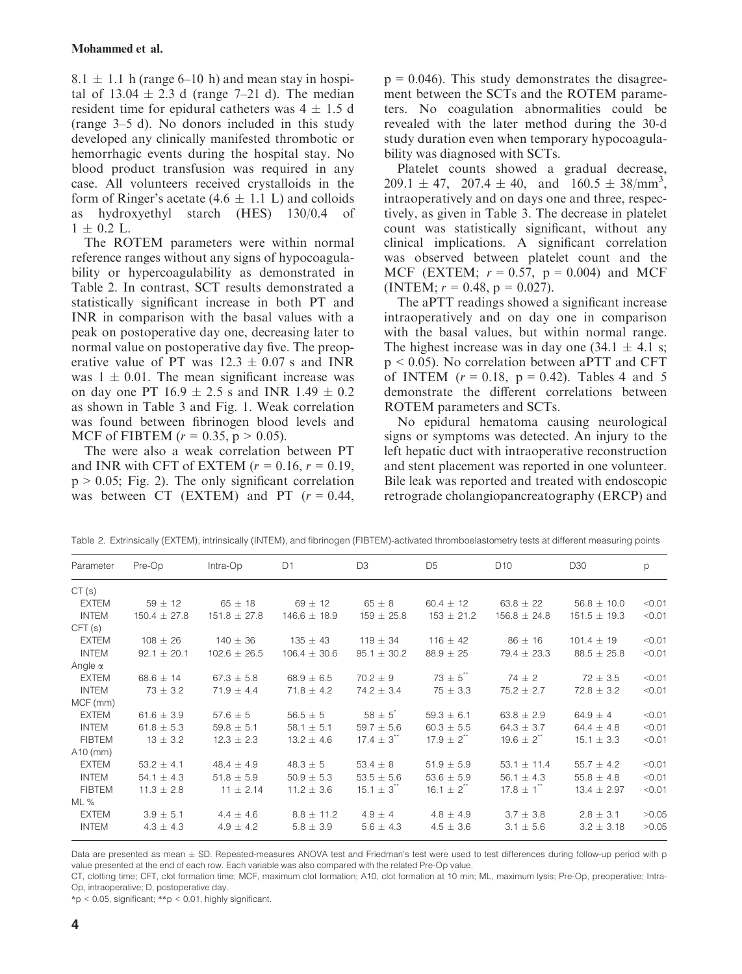## Mohammed et al.

 $8.1 \pm 1.1$  h (range 6–10 h) and mean stay in hospital of  $13.04 \pm 2.3$  d (range 7–21 d). The median resident time for epidural catheters was  $4 \pm 1.5$  d (range 3–5 d). No donors included in this study developed any clinically manifested thrombotic or hemorrhagic events during the hospital stay. No blood product transfusion was required in any case. All volunteers received crystalloids in the form of Ringer's acetate  $(4.6 \pm 1.1 \text{ L})$  and colloids<br>as hydroxyethyl starch (HES) 130/0.4 of hydroxyethyl starch  $(HES)$  130/0.4 of  $1 \pm 0.2$  L.

The ROTEM parameters were within normal reference ranges without any signs of hypocoagulability or hypercoagulability as demonstrated in Table 2. In contrast, SCT results demonstrated a statistically significant increase in both PT and INR in comparison with the basal values with a peak on postoperative day one, decreasing later to normal value on postoperative day five. The preoperative value of PT was  $12.3 \pm 0.07$  s and INR was  $1 \pm 0.01$ . The mean significant increase was on day one PT  $16.9 \pm 2.5$  s and INR  $1.49 \pm 0.2$ as shown in Table 3 and Fig. 1. Weak correlation was found between fibrinogen blood levels and MCF of FIBTEM  $(r = 0.35, p > 0.05)$ .

The were also a weak correlation between PT and INR with CFT of EXTEM  $(r = 0.16, r = 0.19,$  $p > 0.05$ ; Fig. 2). The only significant correlation was between CT (EXTEM) and PT  $(r = 0.44,$   $p = 0.046$ . This study demonstrates the disagreement between the SCTs and the ROTEM parameters. No coagulation abnormalities could be revealed with the later method during the 30-d study duration even when temporary hypocoagulability was diagnosed with SCTs.

Platelet counts showed a gradual decrease,  $209.1 \pm 47$ ,  $207.4 \pm 40$ , and  $160.5 \pm 38/\text{mm}^3$ , intraoperatively and on days one and three, respectively, as given in Table 3. The decrease in platelet count was statistically significant, without any clinical implications. A significant correlation was observed between platelet count and the MCF (EXTEM;  $r = 0.57$ ,  $p = 0.004$ ) and MCF  $(INTER: r = 0.48, p = 0.027).$ 

The aPTT readings showed a significant increase intraoperatively and on day one in comparison with the basal values, but within normal range. The highest increase was in day one  $(34.1 \pm 4.1 \text{ s})$ ; p < 0.05). No correlation between aPTT and CFT of INTEM  $(r = 0.18, p = 0.42)$ . Tables 4 and 5 demonstrate the different correlations between ROTEM parameters and SCTs.

No epidural hematoma causing neurological signs or symptoms was detected. An injury to the left hepatic duct with intraoperative reconstruction and stent placement was reported in one volunteer. Bile leak was reported and treated with endoscopic retrograde cholangiopancreatography (ERCP) and

| Parameter      | Pre-Op           | Intra-Op         | D <sub>1</sub>   | D <sub>3</sub>     | D <sub>5</sub>    | D <sub>10</sub>   | D <sub>30</sub>  | p      |
|----------------|------------------|------------------|------------------|--------------------|-------------------|-------------------|------------------|--------|
| CT(s)          |                  |                  |                  |                    |                   |                   |                  |        |
| <b>EXTEM</b>   | $59 \pm 12$      | $65 \pm 18$      | $69 \pm 12$      | $65 \pm 8$         | $60.4 \pm 12$     | $63.8 \pm 22$     | $56.8 \pm 10.0$  | < 0.01 |
| <b>INTEM</b>   | $150.4 \pm 27.8$ | $151.8 \pm 27.8$ | $146.6 \pm 18.9$ | $159 \pm 25.8$     | $153 \pm 21.2$    | $156.8 \pm 24.8$  | $151.5 \pm 19.3$ | < 0.01 |
| CFT(s)         |                  |                  |                  |                    |                   |                   |                  |        |
| <b>EXTEM</b>   | $108 \pm 26$     | $140 \pm 36$     | $135 \pm 43$     | $119 \pm 34$       | $116 \pm 42$      | $86 \pm 16$       | $101.4 \pm 19$   | < 0.01 |
| <b>INTEM</b>   | $92.1 \pm 20.1$  | $102.6 \pm 26.5$ | $106.4 \pm 30.6$ | $95.1 \pm 30.2$    | $88.9 \pm 25$     | $79.4 \pm 23.3$   | $88.5 \pm 25.8$  | < 0.01 |
| Angle $\alpha$ |                  |                  |                  |                    |                   |                   |                  |        |
| <b>EXTEM</b>   | $68.6 \pm 14$    | $67.3 \pm 5.8$   | $68.9 \pm 6.5$   | $70.2 \pm 9$       | $73 \pm 5$ **     | $74 \pm 2$        | $72 \pm 3.5$     | < 0.01 |
| <b>INTEM</b>   | $73 \pm 3.2$     | $71.9 \pm 4.4$   | $71.8 \pm 4.2$   | $74.2 \pm 3.4$     | $75 \pm 3.3$      | $75.2 \pm 2.7$    | $72.8 \pm 3.2$   | < 0.01 |
| MCF (mm)       |                  |                  |                  |                    |                   |                   |                  |        |
| <b>EXTEM</b>   | $61.6 \pm 3.9$   | $57.6 \pm 5$     | $56.5 \pm 5$     | $58 \pm 5$         | $59.3 \pm 6.1$    | $63.8 \pm 2.9$    | 64.9 $\pm$ 4     | < 0.01 |
| <b>INTEM</b>   | $61.8 \pm 5.3$   | $59.8 \pm 5.1$   | $58.1 \pm 5.1$   | $59.7 \pm 5.6$     | $60.3 \pm 5.5$    | $64.3 \pm 3.7$    | 64.4 $\pm$ 4.8   | < 0.01 |
| <b>FIBTEM</b>  | $13 \pm 3.2$     | $12.3 \pm 2.3$   | $13.2 \pm 4.6$   | $17.4 \pm 3^{*}$   | $17.9 \pm 2^{**}$ | $19.6 \pm 2^{**}$ | $15.1 \pm 3.3$   | < 0.01 |
| $A10$ (mm)     |                  |                  |                  |                    |                   |                   |                  |        |
| <b>EXTEM</b>   | $53.2 \pm 4.1$   | 48.4 $\pm$ 4.9   | $48.3 \pm 5$     | 53.4 $\pm$ 8       | $51.9 \pm 5.9$    | $53.1 \pm 11.4$   | $55.7 \pm 4.2$   | < 0.01 |
| <b>INTEM</b>   | 54.1 $\pm$ 4.3   | $51.8 \pm 5.9$   | $50.9 \pm 5.3$   | $53.5 \pm 5.6$     | $53.6 \pm 5.9$    | 56.1 $\pm$ 4.3    | $55.8 \pm 4.8$   | < 0.01 |
| <b>FIBTEM</b>  | $11.3 \pm 2.8$   | $11 \pm 2.14$    | $11.2 \pm 3.6$   | $15.1 \pm 3^{'''}$ | $16.1 \pm 2^{11}$ | $17.8 \pm 1^{**}$ | $13.4 \pm 2.97$  | < 0.01 |
| ML %           |                  |                  |                  |                    |                   |                   |                  |        |
| <b>EXTEM</b>   | $3.9 \pm 5.1$    | $4.4 \pm 4.6$    | $8.8 \pm 11.2$   | $4.9 \pm 4$        | $4.8 \pm 4.9$     | $3.7 \pm 3.8$     | $2.8 \pm 3.1$    | >0.05  |
| <b>INTEM</b>   | $4.3 \pm 4.3$    | $4.9 \pm 4.2$    | $5.8 \pm 3.9$    | $5.6 \pm 4.3$      | $4.5 \pm 3.6$     | $3.1 \pm 5.6$     | $3.2 \pm 3.18$   | >0.05  |

Table 2. Extrinsically (EXTEM), intrinsically (INTEM), and fibrinogen (FIBTEM)-activated thromboelastometry tests at different measuring points

Data are presented as mean ± SD. Repeated-measures ANOVA test and Friedman's test were used to test differences during follow-up period with p value presented at the end of each row. Each variable was also compared with the related Pre-Op value.

CT, clotting time; CFT, clot formation time; MCF, maximum clot formation; A10, clot formation at 10 min; ML, maximum lysis; Pre-Op, preoperative; Intra-Op, intraoperative; D, postoperative day.

\*p < 0.05, significant; \*\*p < 0.01, highly significant.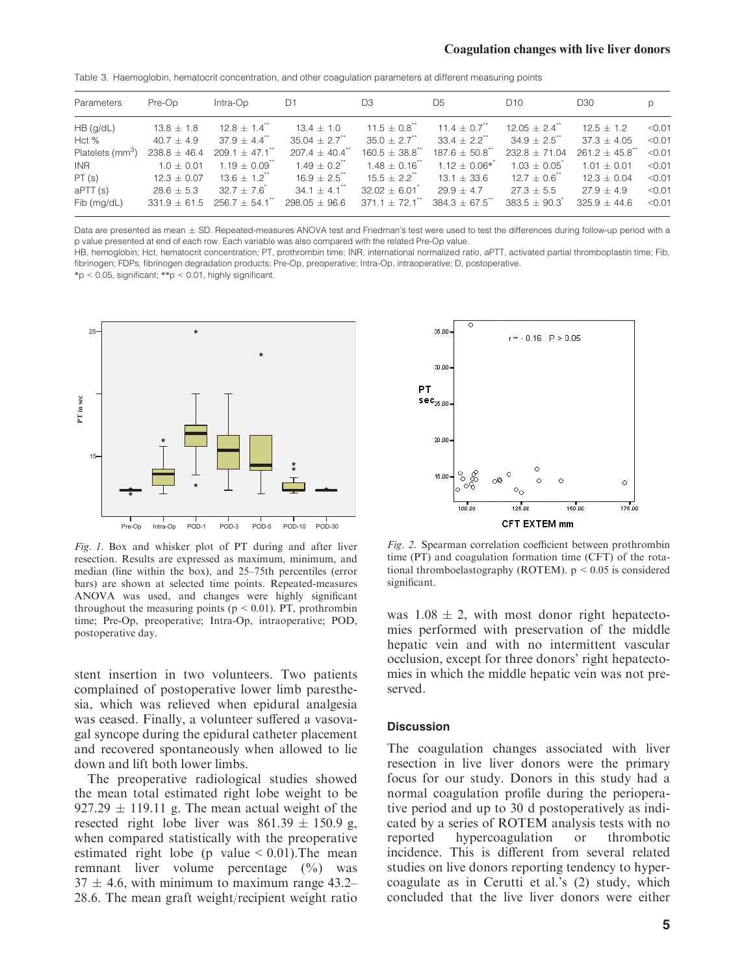Table 3. Haemoglobin, hematocrit concentration, and other coagulation parameters at different measuring points

| Parameters                   | Pre-Op           | Intra-Op                       | D <sub>1</sub>                 | D <sub>3</sub>                 | D <sub>5</sub>                 | D <sub>10</sub>               | D <sub>30</sub> |        |
|------------------------------|------------------|--------------------------------|--------------------------------|--------------------------------|--------------------------------|-------------------------------|-----------------|--------|
|                              |                  |                                |                                |                                |                                |                               |                 | p      |
| $HB$ (g/dL)                  | $13.8 \pm 1.8$   | $12.8 \pm 1.4$ <sup>**</sup>   | $13.4 \pm 1.0$                 | $11.5 \pm 0.8$                 | $11.4 \pm 0.7$                 | $12.05 \pm 2.4$ <sup>**</sup> | $12.5 \pm 1.2$  | < 0.01 |
| Hct %                        | $40.7 + 4.9$     | $37.9 \pm 4.4$ <sup>**</sup>   | $35.04 \pm 2.7$ <sup>**</sup>  | $35.0 \pm 2.7$ <sup>**</sup>   | $33.4 \pm 2.2$ <sup>**</sup>   | $34.9 + 2.5$ <sup>**</sup>    | $37.3 \pm 4.05$ | < 0.01 |
| Platelets (mm <sup>3</sup> ) | $238.8 \pm 46.4$ | $209.1 \pm 47.1$ <sup>**</sup> | $207.4 \pm 40.4$ <sup>**</sup> | $160.5 \pm 38.8$ <sup>**</sup> | $187.6 \pm 50.8$ <sup>**</sup> | $232.8 \pm 71.04$             | $261.2 + 45.8$  | < 0.01 |
| <b>INR</b>                   | $1.0 \pm 0.01$   | $1.19 + 0.09$                  | $1.49 \pm 0.2$ <sup>**</sup>   | $1.48 + 0.16$ <sup>**</sup>    | $1.12 + 0.06*$                 | $1.03 \pm 0.05$               | $1.01 + 0.01$   | < 0.01 |
| PT(s)                        | $12.3 \pm 0.07$  | $13.6 + 1.2^{**}$              | $16.9 + 2.5$ **                | $15.5 \pm 2.2$ <sup>**</sup>   | $13.1 \pm 33.6$                | $12.7 \pm 0.6$ <sup>**</sup>  | $12.3 + 0.04$   | < 0.01 |
| $a$ PTT $(s)$                | $28.6 \pm 5.3$   | $32.7 \pm 7.6$                 | $34.1 \pm 4.1$ <sup>**</sup>   | $32.02 \pm 6.01$               | $29.9 \pm 4.7$                 | $27.3 \pm 5.5$                | $27.9 \pm 4.9$  | < 0.01 |
| Fib (mg/dL)                  | $331.9 + 61.5$   | $256.7 \pm 54.1$               | $298.05 \pm 96.6$              | $371.1 \pm 72.1$ <sup>**</sup> | $384.3 \pm 67.5$ <sup>**</sup> | $383.5 + 90.3$                | $325.9 + 44.6$  | < 0.01 |

Data are presented as mean ± SD. Repeated-measures ANOVA test and Friedman's test were used to test the differences during follow-up period with a p value presented at end of each row. Each variable was also compared with the related Pre-Op value.

HB, hemoglobin; Hct, hematocrit concentration; PT, prothrombin time; INR, international normalized ratio, aPTT, activated partial thromboplastin time; Fib, fibrinogen; FDPs, fibrinogen degradation products; Pre-Op, preoperative; Intra-Op, intraoperative; D, postoperative.

\*p < 0.05, significant; \*\*p < 0.01, highly significant.



Fig. 1. Box and whisker plot of PT during and after liver resection. Results are expressed as maximum, minimum, and median (line within the box), and 25–75th percentiles (error bars) are shown at selected time points. Repeated-measures ANOVA was used, and changes were highly significant throughout the measuring points ( $p < 0.01$ ). PT, prothrombin time; Pre-Op, preoperative; Intra-Op, intraoperative; POD, postoperative day.

stent insertion in two volunteers. Two patients complained of postoperative lower limb paresthesia, which was relieved when epidural analgesia was ceased. Finally, a volunteer suffered a vasovagal syncope during the epidural catheter placement and recovered spontaneously when allowed to lie down and lift both lower limbs.

The preoperative radiological studies showed the mean total estimated right lobe weight to be 927.29  $\pm$  119.11 g. The mean actual weight of the resected right lobe liver was  $861.39 \pm 150.9$  g, when compared statistically with the preoperative estimated right lobe (p value  $\leq 0.01$ ). The mean remnant liver volume percentage (%) was  $37 \pm 4.6$ , with minimum to maximum range 43.2– 28.6. The mean graft weight/recipient weight ratio



Fig. 2. Spearman correlation coefficient between prothrombin time (PT) and coagulation formation time (CFT) of the rotational thromboelastography (ROTEM).  $p < 0.05$  is considered significant.

was  $1.08 \pm 2$ , with most donor right hepatectomies performed with preservation of the middle hepatic vein and with no intermittent vascular occlusion, except for three donors' right hepatectomies in which the middle hepatic vein was not preserved.

#### **Discussion**

The coagulation changes associated with liver resection in live liver donors were the primary focus for our study. Donors in this study had a normal coagulation profile during the perioperative period and up to 30 d postoperatively as indicated by a series of ROTEM analysis tests with no reported hypercoagulation or thrombotic incidence. This is different from several related studies on live donors reporting tendency to hypercoagulate as in Cerutti et al.'s (2) study, which concluded that the live liver donors were either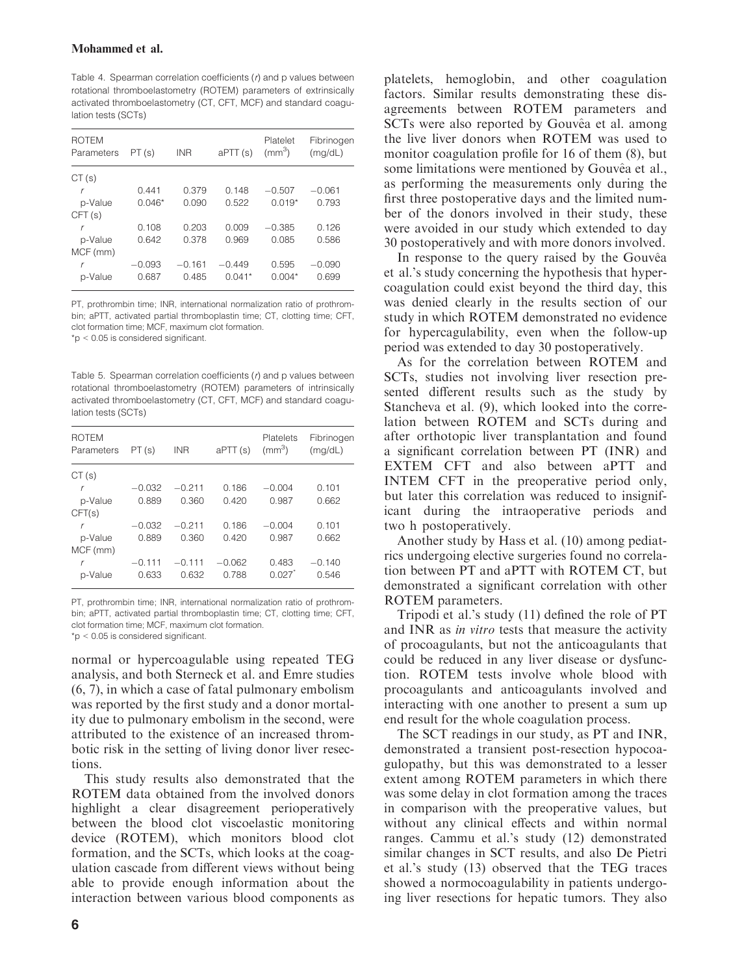## Mohammed et al.

Table 4. Spearman correlation coefficients  $(r)$  and p values between rotational thromboelastometry (ROTEM) parameters of extrinsically activated thromboelastometry (CT, CFT, MCF) and standard coagulation tests (SCTs)

| <b>ROTEM</b><br>Parameters | PT(s)    | <b>INR</b> | $a$ PTT $(s)$ | Platelet<br>$\rm (mm^3)$ | Fibrinogen<br>(mg/dL) |
|----------------------------|----------|------------|---------------|--------------------------|-----------------------|
| CT(s)                      |          |            |               |                          |                       |
| r                          | 0.441    | 0.379      | 0.148         | $-0.507$                 | $-0.061$              |
| p-Value                    | $0.046*$ | 0.090      | 0.522         | $0.019*$                 | 0.793                 |
| CFT(s)                     |          |            |               |                          |                       |
| r                          | 0.108    | 0.203      | 0.009         | $-0.385$                 | 0.126                 |
| p-Value                    | 0.642    | 0.378      | 0.969         | 0.085                    | 0.586                 |
| MCF (mm)                   |          |            |               |                          |                       |
| r                          | $-0.093$ | $-0.161$   | $-0.449$      | 0.595                    | $-0.090$              |
| p-Value                    | 0.687    | 0.485      | $0.041*$      | $0.004*$                 | 0.699                 |

PT, prothrombin time; INR, international normalization ratio of prothrombin; aPTT, activated partial thromboplastin time; CT, clotting time; CFT, clot formation time; MCF, maximum clot formation.

\*p < 0.05 is considered significant.

Table 5. Spearman correlation coefficients  $(r)$  and p values between rotational thromboelastometry (ROTEM) parameters of intrinsically activated thromboelastometry (CT, CFT, MCF) and standard coagulation tests (SCTs)

| <b>ROTEM</b><br>Parameters | PT(s)             | <b>INR</b>        | $a$ PTT $(s)$     | Platelets<br>$\text{m}^3$ | Fibrinogen<br>(mg/dL) |
|----------------------------|-------------------|-------------------|-------------------|---------------------------|-----------------------|
| CT(s)                      |                   |                   |                   |                           |                       |
| r                          | $-0.032$          | $-0.211$          | 0.186             | $-0.004$                  | 0.101                 |
| p-Value                    | 0.889             | 0.360             | 0.420             | 0.987                     | 0.662                 |
| CFT(s)                     |                   |                   |                   |                           |                       |
| r                          | $-0.032$          | $-0.211$          | 0.186             | $-0.004$                  | 0.101                 |
| p-Value                    | 0.889             | 0.360             | 0.420             | 0.987                     | 0.662                 |
| MCF (mm)                   |                   |                   |                   |                           |                       |
| p-Value                    | $-0.111$<br>0.633 | $-0.111$<br>0.632 | $-0.062$<br>0.788 | 0.483<br>በ በ27            | $-0.140$<br>0.546     |
|                            |                   |                   |                   |                           |                       |

PT, prothrombin time; INR, international normalization ratio of prothrombin; aPTT, activated partial thromboplastin time; CT, clotting time; CFT, clot formation time; MCF, maximum clot formation. \*p < 0.05 is considered significant.

normal or hypercoagulable using repeated TEG analysis, and both Sterneck et al. and Emre studies (6, 7), in which a case of fatal pulmonary embolism was reported by the first study and a donor mortality due to pulmonary embolism in the second, were attributed to the existence of an increased thrombotic risk in the setting of living donor liver resections.

This study results also demonstrated that the ROTEM data obtained from the involved donors highlight a clear disagreement perioperatively between the blood clot viscoelastic monitoring device (ROTEM), which monitors blood clot formation, and the SCTs, which looks at the coagulation cascade from different views without being able to provide enough information about the interaction between various blood components as platelets, hemoglobin, and other coagulation factors. Similar results demonstrating these disagreements between ROTEM parameters and SCTs were also reported by Gouvêa et al. among the live liver donors when ROTEM was used to monitor coagulation profile for 16 of them (8), but some limitations were mentioned by Gouvêa et al., as performing the measurements only during the first three postoperative days and the limited number of the donors involved in their study, these were avoided in our study which extended to day 30 postoperatively and with more donors involved.

In response to the query raised by the Gouvêa et al.'s study concerning the hypothesis that hypercoagulation could exist beyond the third day, this was denied clearly in the results section of our study in which ROTEM demonstrated no evidence for hypercagulability, even when the follow-up period was extended to day 30 postoperatively.

As for the correlation between ROTEM and SCTs, studies not involving liver resection presented different results such as the study by Stancheva et al. (9), which looked into the correlation between ROTEM and SCTs during and after orthotopic liver transplantation and found a significant correlation between PT (INR) and EXTEM CFT and also between aPTT and INTEM CFT in the preoperative period only, but later this correlation was reduced to insignificant during the intraoperative periods and two h postoperatively.

Another study by Hass et al. (10) among pediatrics undergoing elective surgeries found no correlation between PT and aPTT with ROTEM CT, but demonstrated a significant correlation with other ROTEM parameters.

Tripodi et al.'s study (11) defined the role of PT and INR as in vitro tests that measure the activity of procoagulants, but not the anticoagulants that could be reduced in any liver disease or dysfunction. ROTEM tests involve whole blood with procoagulants and anticoagulants involved and interacting with one another to present a sum up end result for the whole coagulation process.

The SCT readings in our study, as PT and INR, demonstrated a transient post-resection hypocoagulopathy, but this was demonstrated to a lesser extent among ROTEM parameters in which there was some delay in clot formation among the traces in comparison with the preoperative values, but without any clinical effects and within normal ranges. Cammu et al.'s study (12) demonstrated similar changes in SCT results, and also De Pietri et al.'s study (13) observed that the TEG traces showed a normocoagulability in patients undergoing liver resections for hepatic tumors. They also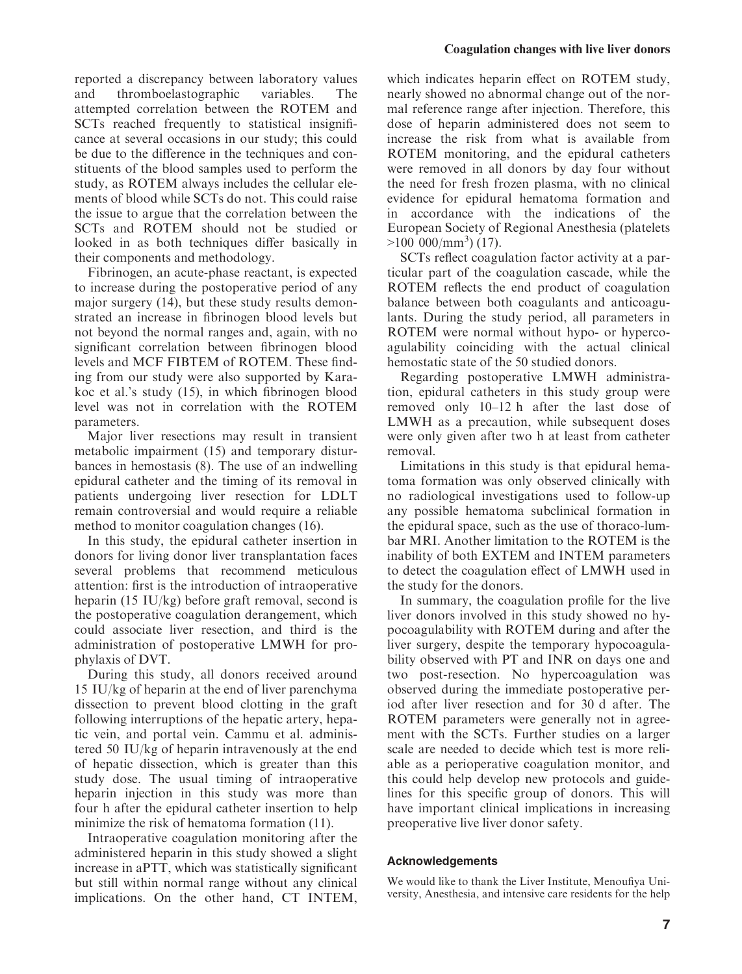reported a discrepancy between laboratory values and thromboelastographic variables. The attempted correlation between the ROTEM and SCTs reached frequently to statistical insignificance at several occasions in our study; this could be due to the difference in the techniques and constituents of the blood samples used to perform the study, as ROTEM always includes the cellular elements of blood while SCTs do not. This could raise the issue to argue that the correlation between the SCTs and ROTEM should not be studied or looked in as both techniques differ basically in their components and methodology.

Fibrinogen, an acute-phase reactant, is expected to increase during the postoperative period of any major surgery (14), but these study results demonstrated an increase in fibrinogen blood levels but not beyond the normal ranges and, again, with no significant correlation between fibrinogen blood levels and MCF FIBTEM of ROTEM. These finding from our study were also supported by Karakoc et al.'s study (15), in which fibrinogen blood level was not in correlation with the ROTEM parameters.

Major liver resections may result in transient metabolic impairment (15) and temporary disturbances in hemostasis (8). The use of an indwelling epidural catheter and the timing of its removal in patients undergoing liver resection for LDLT remain controversial and would require a reliable method to monitor coagulation changes (16).

In this study, the epidural catheter insertion in donors for living donor liver transplantation faces several problems that recommend meticulous attention: first is the introduction of intraoperative heparin (15 IU/kg) before graft removal, second is the postoperative coagulation derangement, which could associate liver resection, and third is the administration of postoperative LMWH for prophylaxis of DVT.

During this study, all donors received around 15 IU/kg of heparin at the end of liver parenchyma dissection to prevent blood clotting in the graft following interruptions of the hepatic artery, hepatic vein, and portal vein. Cammu et al. administered 50 IU/kg of heparin intravenously at the end of hepatic dissection, which is greater than this study dose. The usual timing of intraoperative heparin injection in this study was more than four h after the epidural catheter insertion to help minimize the risk of hematoma formation (11).

Intraoperative coagulation monitoring after the administered heparin in this study showed a slight increase in aPTT, which was statistically significant but still within normal range without any clinical implications. On the other hand, CT INTEM,

which indicates heparin effect on ROTEM study, nearly showed no abnormal change out of the normal reference range after injection. Therefore, this dose of heparin administered does not seem to increase the risk from what is available from ROTEM monitoring, and the epidural catheters were removed in all donors by day four without the need for fresh frozen plasma, with no clinical evidence for epidural hematoma formation and in accordance with the indications of the European Society of Regional Anesthesia (platelets  $>100$  000/mm<sup>3</sup>) (17).

SCTs reflect coagulation factor activity at a particular part of the coagulation cascade, while the ROTEM reflects the end product of coagulation balance between both coagulants and anticoagulants. During the study period, all parameters in ROTEM were normal without hypo- or hypercoagulability coinciding with the actual clinical hemostatic state of the 50 studied donors.

Regarding postoperative LMWH administration, epidural catheters in this study group were removed only 10–12 h after the last dose of LMWH as a precaution, while subsequent doses were only given after two h at least from catheter removal.

Limitations in this study is that epidural hematoma formation was only observed clinically with no radiological investigations used to follow-up any possible hematoma subclinical formation in the epidural space, such as the use of thoraco-lumbar MRI. Another limitation to the ROTEM is the inability of both EXTEM and INTEM parameters to detect the coagulation effect of LMWH used in the study for the donors.

In summary, the coagulation profile for the live liver donors involved in this study showed no hypocoagulability with ROTEM during and after the liver surgery, despite the temporary hypocoagulability observed with PT and INR on days one and two post-resection. No hypercoagulation was observed during the immediate postoperative period after liver resection and for 30 d after. The ROTEM parameters were generally not in agreement with the SCTs. Further studies on a larger scale are needed to decide which test is more reliable as a perioperative coagulation monitor, and this could help develop new protocols and guidelines for this specific group of donors. This will have important clinical implications in increasing preoperative live liver donor safety.

# Acknowledgements

We would like to thank the Liver Institute, Menoufiya University, Anesthesia, and intensive care residents for the help